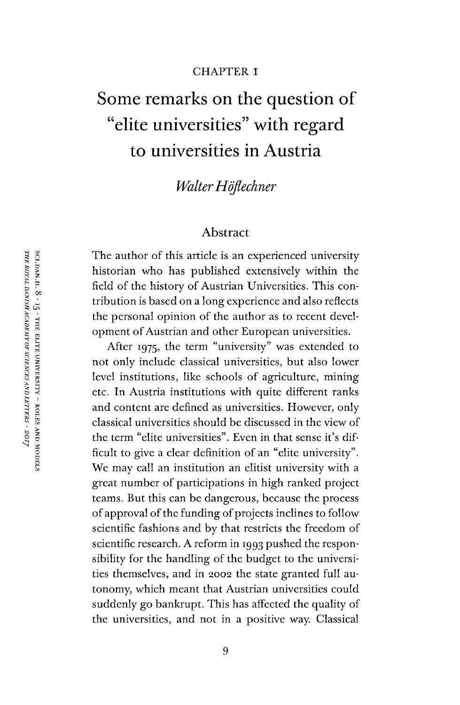#### CHAPTER I

# Some remarks on the question of "elite universities" with regard to universities in Austria

# *WalterHöflechner*

#### Abstract

The author of this article is an experienced university historian who has published extensively within the field of the history of Austrian Universities. This contribution is based on a long experience and also reflects the personal opinion of the author as to recent development of Austrian and other European universities.

After 1975, the term "university" was extended to not only include classical universities, but also lower level institutions, like schools of agriculture, mining etc. In Austria institutions with quite different ranks and content are defined as universities. However, only classical universities should be discussed in the view of the term "elite universities". Even in that sense it'<sup>s</sup> difficult to give a clear definition of an "elite university". We may call an institution an elitist university with a great number of participations in high ranked project teams. But this can be dangerous, because the process of approval of the funding of projects inclines to follow scientific fashions and by that restricts the freedom of scientific research. A reform in 1993 pushed the responsibility for the handling of the budget to the universities themselves, and in 2002 the state granted full autonomy, which meant that Austrian universities could suddenly go bankrupt. This has affected the quality of the universities, and not in a positive way. Classical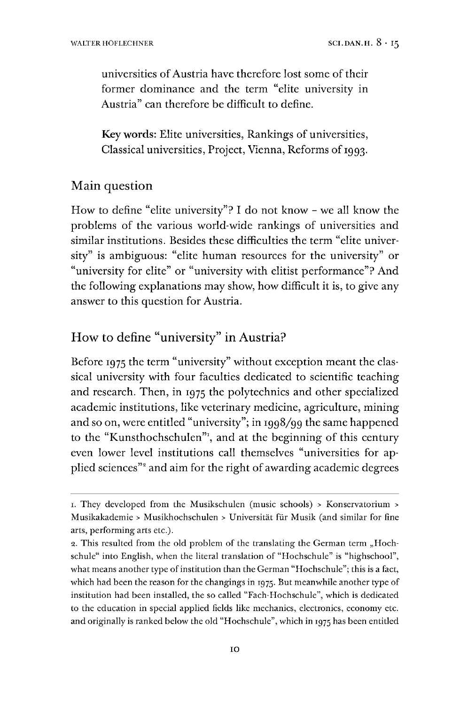universities of Austria have therefore lost some of their former dominance and the term "elite university in Austria" can therefore be difficult to define.

Keywords: Elite universities, Rankings of universities, Classical universities, Project, Vienna, Reforms of 1993.

# Main question

How to define "elite university"? I do not know - we all know the problems of the various world-wide rankings of universities and similar institutions. Besides these difficulties the term "elite university" is ambiguous: "elite human resources for the university" or "university for elite" or "university with elitist performance"? And the following explanations may show, how difficult it is, to give any answer to this question for Austria.

# How to define "university" in Austria?

Before 1975 the term "university" without exception meant the classical university with four faculties dedicated to scientific teaching and research. Then, in 1975 the polytechnics and other specialized academic institutions, like veterinary medicine, agriculture, mining and so on, were entitled "university"; in 1998/99 the same happened to the "Kunsthochschulen"<sup>[1](#page-1-0)</sup>, and at the beginning of this century even lower level institutions call themselves "universities for applied sciences"<sup>2</sup> and aim for the right of awarding academic degrees

<span id="page-1-0"></span><sup>1.</sup> They developed from the Musikschulen (music schools) <sup>&</sup>gt; Konservatorium <sup>&</sup>gt; Musikakademie <sup>&</sup>gt; Musikhochschulen <sup>&</sup>gt; Universität für Musik (and similar for fine arts, performing arts etc.).

<sup>2.</sup> This resulted from the old problem of the translating the German term "Hochschule" into English, when the literal translation of "Hochschule" is "highschool", what means another type of institution than the German "Hochschule"; this is a fact, which had been the reason for the changings in 1975. But meanwhile another type of institution had been installed, the so called "Fach-Hochschule", which is dedicated to the education in special applied fields like mechanics, electronics, economy etc. and originally is ranked below the old "Hochschule", which in 1975 has been entitled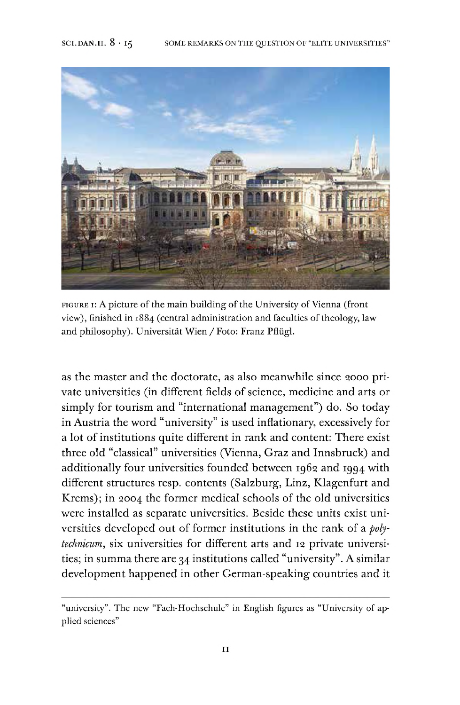

FIGURE I: A picture of the main building of the University of Vienna (front view), finished in 1884 (central administration and faculties of theology, law and philosophy). Universität Wien /Foto: Franz Pflügl.

as the master and the doctorate, as also meanwhile since 2000 private universities (in different fields of science, medicine and arts or simply for tourism and "international management") do. So today in Austria the word "university" is used inflationary, excessively for a lot of institutions quite different in rank and content: There exist three old "classical" universities (Vienna, Graz and Innsbruck) and additionally four universities founded between 1962 and 1994 with different structures resp. contents (Salzburg, Linz, Klagenfurt and Krems); in 2004 the former medical schools of the old universities were installed as separate universities. Beside these units exist universities developed out of former institutions in the rank of a *polytechnicum,* six universities for different arts and <sup>12</sup> private universities; in summa there are 34 institutions called "university". A similar development happened in other German-speaking countries and it

<sup>&</sup>quot;university". The new "Fach-Hochschule" in English figures as "University of applied sciences"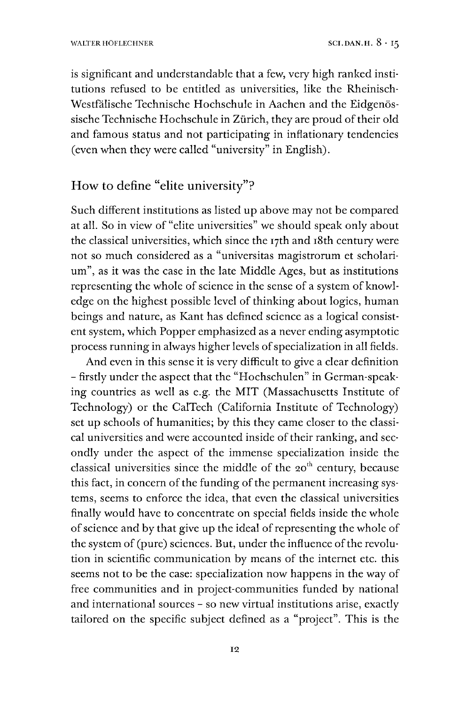is significant and understandable that a few, very high ranked institutions refused to be entitled as universities, like the Rheinisch-Westfälische Technische Hochschule in Aachen and the Eidgenössische Technische Hochschule in Zürich, they are proud of their old and famous status and not participating in inflationary tendencies (even when they were called "university" in English).

## How to define "elite university"?

Such different institutions as listed up above may not be compared at all. So in view of "elite universities" we should speak only about the classical universities, which since the 17th and 18th century were not so much considered as a "universitas magistrorum et scholarium", as it was the case in the late Middle Ages, but as institutions representing the whole of science in the sense of a system of knowledge on the highest possible level of thinking about logics, human beings and nature, as Kant has defined science as a logical consistent system, which Popper emphasized as a never ending asymptotic process running in always higher levels of specialization in all fields.

And even in this sense it is very difficult to give a clear definition - firstly under the aspect that the "Hochschulen" in German-speaking countries as well as e.g. the MIT (Massachusetts Institute of Technology) or the CalTech (California Institute of Technology) set up schools of humanities; by this they came closer to the classical universities and were accounted inside of their ranking, and secondly under the aspect of the immense specialization inside the classical universities since the middle of the 20<sup>th</sup> century, because this fact, in concern of the funding of the permanent increasing systems, seems to enforce the idea, that even the classical universities finally would have to concentrate on special fields inside the whole of science and by that give up the ideal of representing the whole of the system of (pure) sciences. But, under the influence of the revolution in scientific communication by means of the internet etc. this seems not to be the case: specialization now happens in the way of free communities and in project-communities funded by national and international sources - so new virtual institutions arise, exactly tailored on the specific subject defined as a "project". This is the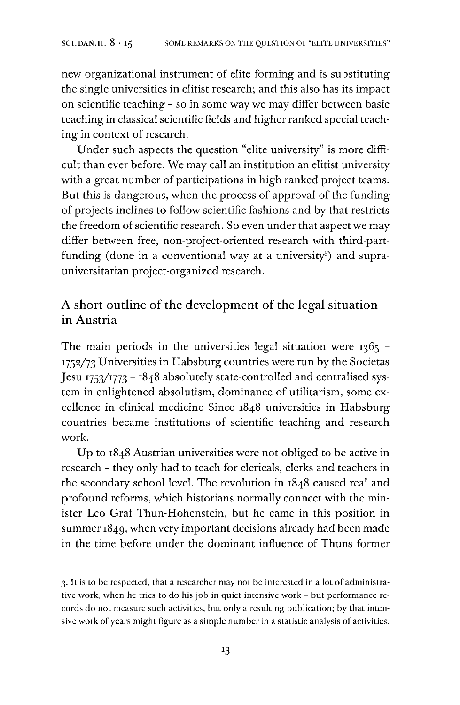new organizational instrument of elite forming and is substituting the single universities in elitist research; and this also has its impact on scientific teaching - so in some way we may differ between basic teaching in classical scientific fields and higher ranked special teaching in context of research.

Under such aspects the question "elite university" is more difficult than ever before. We may call an institution an elitist university with a great number of participations in high ranked project teams. But this is dangerous, when the process of approval of the funding of projects inclines to follow scientific fashions and by that restricts the freedom of scientific research. So even under that aspect we may differ between free, non-project-oriented research with third-part-funding (done in a conventional way at a university<sup>[3](#page-4-0)</sup>) and suprauniversitarian project-organized research.

# A short outline of the development of the legal situation in Austria

The main periods in the universities legal situation were 1365 -1752/73 Universities in Habsburg countries were run by the Societas Jesu 1753/1773 - 1848 absolutely state-controlled and centralised system in enlightened absolutism, dominance of utilitarism, some excellence in clinical medicine Since 1848 universities in Habsburg countries became institutions of scientific teaching and research work.

Up to 1848 Austrian universities were not obliged to be active in research - they only had to teach for clericals, clerks and teachers in the secondary school level. The revolution in 1848 caused real and profound reforms, which historians normally connect with the minister Leo Graf Thun-Hohenstein, but he came in this position in summer 1849, when very important decisions already had been made in the time before under the dominant influence of Thuns former

<span id="page-4-0"></span><sup>3.</sup>It is to be respected, that a researcher may not be interested in a lot of administrative work, when he tries to do his job in quiet intensive work - but performance records do not measure such activities, but only a resulting publication; by that intensive work of years might figure as a simple number in a statistic analysis of activities.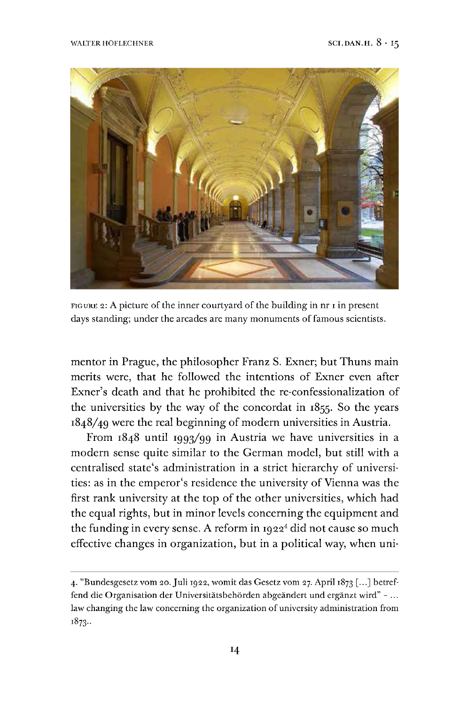

FIGURE 2: A picture of the inner courtyard of the building in  $n r i$  in present days standing; under the arcades are many monuments of famous scientists.

mentor in Prague, the philosopher Franz S. Exner; but Thuns main merits were, that he followed the intentions of Exner even after Exner's death and that he prohibited the re-confessionalization of the universities by the way of the concordat in 1855. So the years 1848/49 were the real beginning of modern universities in Austria.

From 1848 until 1993/99 in Austria we have universities in a modern sense quite similar to the German model, but still with a centralised state's administration in a strict hierarchy of universities: as in the emperor's residence the university of Vienna was the first rank university at the top of the other universities, which had the equal rights, but in minor levels concerning the equipment and the funding in every sense. A reform in  $1922^4$  $1922^4$  did not cause so much effective changes in organization, but in a political way, when uni-

<span id="page-5-0"></span><sup>4.</sup> "Bundesgesetz vom 20.Juli 1922, womit das Gesetz vom 27. April 1873 [...] betreffend die Organisation der Universitätsbehörden abgeändert und ergänzt wird" - ... law changing the law concerning the organization of university administration from 1873..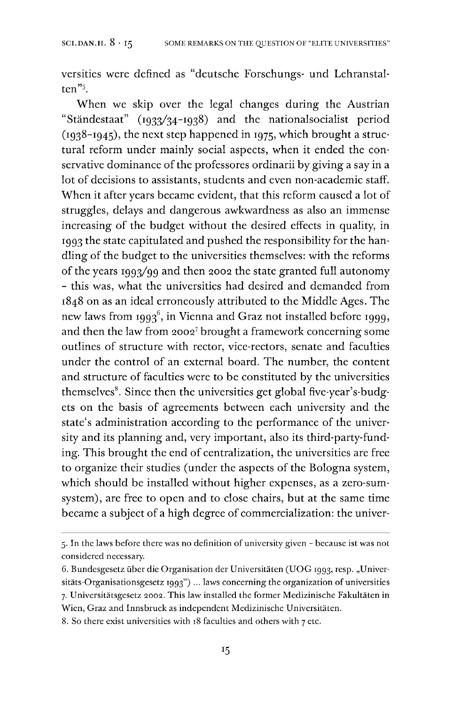versities were defined as "deutsche Forschungs- und Lehranstalten"[5](#page-6-0).

When we skip over the legal changes during the Austrian "Ständestaat" (1933/34-1938) and the nationalsocialist period  $(1938 - 1945)$ , the next step happened in 1975, which brought a structural reform under mainly social aspects, when it ended the conservative dominance of the professores ordinarii by giving a say in a lot of decisions to assistants, students and even non-academic staff. When it after years became evident, that this reform caused a lot of struggles, delays and dangerous awkwardness as also an immense increasing of the budget without the desired effects in quality, in 1993 the state capitulated and pushed the responsibility for the handling of the budget to the universities themselves: with the reforms of the years 1993/99 and then 2002 the state granted full autonomy - this was, what the universities had desired and demanded from 1848 on as an ideal erroneously attributed to the Middle Ages. The new laws from 1993<sup>[6](#page-6-1)</sup>, in Vienna and Graz not installed before 1999, and then the law from 2002[7](#page-6-2) brought a framework concerning some outlines of structure with rector, vice-rectors, senate and faculties under the control of an external board. The number, the content and structure of faculties were to be constituted by the universities themselves<sup>[8](#page-6-3)</sup>. Since then the universities get global five-year's-budgets on the basis of agreements between each university and the state's administration according to the performance of the university and its planning and, very important, also its third-party-funding. This brought the end of centralization, the universities are free to organize their studies (under the aspects of the Bologna system, which should be installed without higher expenses, as a zero-sumsystem), are free to open and to close chairs, but at the same time became a subject of a high degree of commercialization: the univer-

<span id="page-6-0"></span><sup>5.</sup> In the laws before there was no definition of university given - because ist was not considered necessary.

<span id="page-6-2"></span><span id="page-6-1"></span><sup>6.</sup> Bundesgesetz über die Organisation der Universitäten (UOG 1993, resp. "Universitäts-Organisationsgesetz 1993") ... laws concerning the organization of universities 7. Universitätsgesetz 2002. This law installed the former Medizinische Fakultäten in Wien, Graz and Innsbruck as independent Medizinische Universitäten.

<span id="page-6-3"></span><sup>8.</sup> So there exist universities with 18 faculties and others with 7 etc.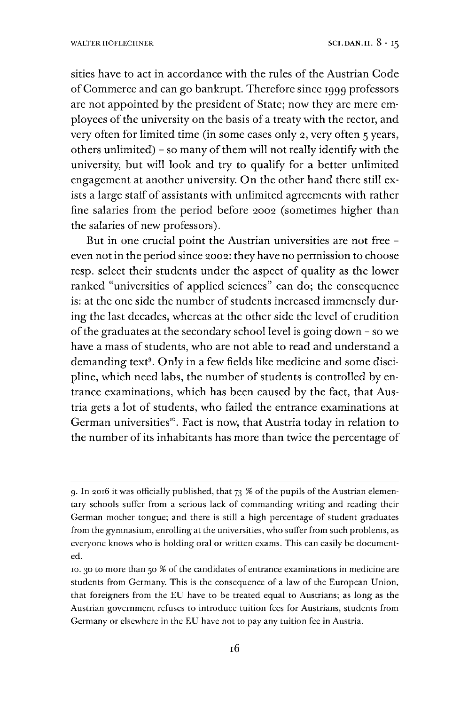sities have to act in accordance with the rules of the Austrian Code ofCommerce and can go bankrupt. Therefore since 1999 professors are not appointed by the president of State; now they are mere employees of the university on the basis of a treaty with the rector, and very often for limited time (in some cases only 2, very often 5 years, others unlimited) - so many of them will not really identify with the university, but will look and try to qualify for a better unlimited engagement at another university. On the other hand there still exists a large staff of assistants with unlimited agreements with rather fine salaries from the period before 2002 (sometimes higher than the salaries of new professors).

But in one crucial point the Austrian universities are not free even notin the period since 2002: they have no permission to choose resp. select their students under the aspect of quality as the lower ranked "universities of applied sciences" can do; the consequence is: at the one side the number of students increased immensely during the last decades, whereas at the other side the level of erudition ofthe graduates at the secondary school level is going down - so we have a mass of students, who are not able to read and understand a demanding text<sup>[9](#page-7-0)</sup>. Only in a few fields like medicine and some discipline, which need labs, the number of students is controlled by entrance examinations, which has been caused by the fact, that Austria gets a lot of students, who failed the entrance examinations at German universities". Fact is now, that Austria today in relation to the number of its inhabitants has more than twice the percentage of

<span id="page-7-0"></span><sup>9.</sup> In 2016 it was officially published, that  $73$  % of the pupils of the Austrian elementary schools suffer from a serious lack of commanding writing and reading their German mother tongue; and there is still a high percentage of student graduates from the gymnasium, enrolling at the universities, who suffer from such problems, as everyone knows who is holding oral or written exams. This can easily be documented.

<sup>10.</sup> 30 to more than 50 % of the candidates of entrance examinations in medicine are students from Germany. This is the consequence of a law of the European Union, that foreigners from the EU have to be treated equal to Austrians; as long as the Austrian government refuses to introduce tuition fees for Austrians, students from Germany or elsewhere in the EU have not to pay any tuition fee in Austria.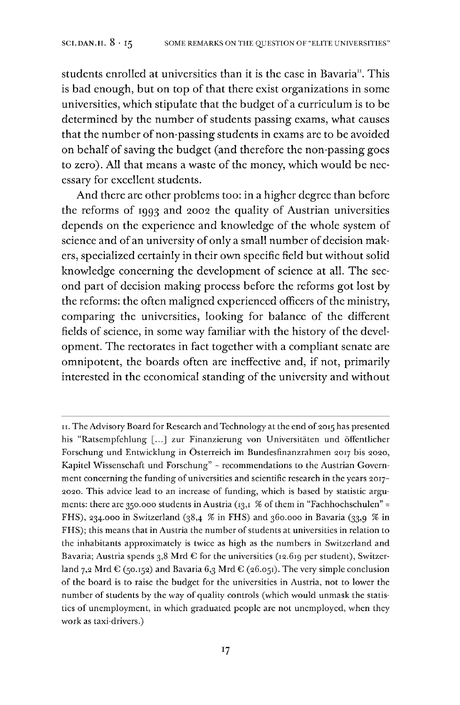students enrolled at universities than it is the case in Bavaria<sup>n</sup>. This is bad enough, but on top of that there exist organizations in some universities, which stipulate that the budget of a curriculum is to be determined by the number of students passing exams, what causes that the number of non-passing students in exams are to be avoided on behalf of saving the budget (and therefore the non-passing goes to zero). All that means a waste of the money, which would be necessary for excellent students.

And there are other problems too: in a higher degree than before the reforms of 1993 and 2002 the quality of Austrian universities depends on the experience and knowledge of the whole system of science and of an university of only a small number of decision makers, specialized certainly in their own specific field but without solid knowledge concerning the development of science at all. The second part of decision making process before the reforms got lost by the reforms: the often maligned experienced officers of the ministry, comparing the universities, looking for balance of the different fields of science, in some way familiar with the history of the development. The rectorates in fact together with a compliant senate are omnipotent, the boards often are ineffective and, if not, primarily interested in the economical standing of the university and without

<span id="page-8-0"></span>II. The Advisory Board for Research and Technology at the end of 2015 has presented his "Ratsempfehlung [...] zur Finanzierung von Universitäten und öffentlicher Forschung und Entwicklung in Österreich im Bundesfinanzrahmen 2017 bis 2020, Kapitel Wissenschaft und Forschung" - recommendations to the Austrian Government concerning the funding of universities and scientific research in the years 2017-2020. This advice lead to an increase of funding, which is based by statistic arguments: there are 350.000 students in Austria (13,1 % of them in "Fachhochschulen" = FHS), 234.000 in Switzerland (38,4 % in FHS) and 360.000 in Bavaria (33,9 % in FHS); this means that in Austria the number of students at universities in relation to the inhabitants approximately is twice as high as the numbers in Switzerland and Bavaria; Austria spends 3,8 Mrd  $\epsilon$  for the universities (12.619 per student), Switzerland 7,2 Mrd  $\epsilon$  (50.152) and Bavaria 6,3 Mrd  $\epsilon$  (26.051). The very simple conclusion of the board is to raise the budget for the universities in Austria, not to lower the number of students by the way of quality controls (which would unmask the statistics of unemployment, in which graduated people are not unemployed, when they work as taxi-drivers.)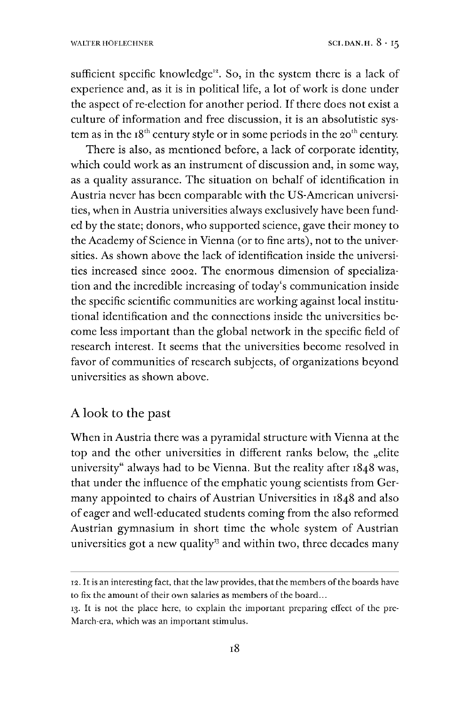sufficient specific knowledge<sup>12</sup>. So, in the system there is a lack of experience and, as it is in political life, a lot of work is done under the aspect of re-election for another period. If there does not exist a culture of information and free discussion, it is an absolutistic system as in the  $18<sup>th</sup>$  century style or in some periods in the 20<sup>th</sup> century.

There is also, as mentioned before, a lack of corporate identity, which could work as an instrument of discussion and, in some way, as a quality assurance. The situation on behalf of identification in Austria never has been comparable with the US-American universities, when in Austria universities always exclusively have been funded by the state; donors, who supported science, gave their money to the Academy of Science in Vienna (or to fine arts), not to the universities. As shown above the lack of identification inside the universities increased since 2002. The enormous dimension of specialization and the incredible increasing of today's communication inside the specific scientific communities are working against local institutional identification and the connections inside the universities become less important than the global network in the specific field of research interest. It seems that the universities become resolved in favor of communities of research subjects, of organizations beyond universities as shown above.

#### A look to the past

When in Austria there was a pyramidal structure with Vienna at the top and the other universities in different ranks below, the "elite university" always had to be Vienna. But the reality after 1848 was, that under the influence of the emphatic young scientists from Germany appointed to chairs of Austrian Universities in 1848 and also of eager and well-educated students coming from the also reformed Austrian gymnasium in short time the whole system of Austrian universities got a new quality<sup>33</sup> and within two, three decades many

<sup>12.</sup> It is an interesting fact, that the law provides, that the members of the boards have to fix the amount of their own salaries as members of the board...

<span id="page-9-0"></span><sup>13.</sup> It is not the place here, to explain the important preparing effect of the pre-March-era, which was an important stimulus.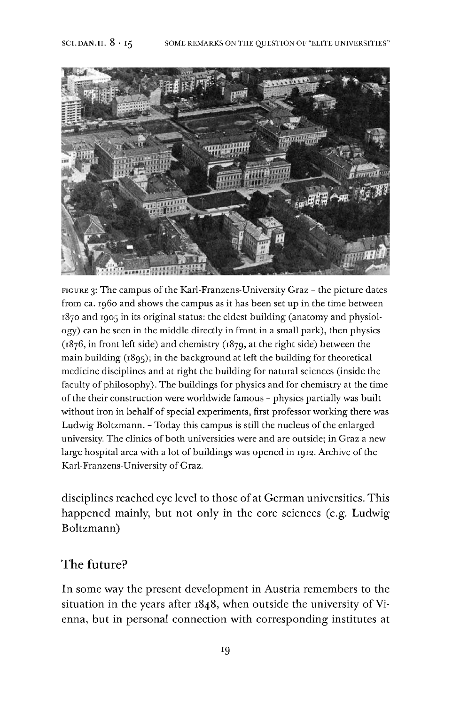

FIGURE 3: The campus of the Karl-Franzens-University Graz - the picture dates from ca. i960 and shows the campus as it has been set up in the time between 1870 and 1905 in its original status: the eldest building (anatomy and physiology) can be seen in the middle directly in front in a small park), then physics (1876, in front left side) and chemistry (1879, at the right side) between the main building (1895); in the background at left the building for theoretical medicine disciplines and at right the building for natural sciences (inside the faculty of philosophy). The buildings for physics and for chemistry at the time of the their construction were worldwide famous - physics partially was built without iron in behalf of special experiments, first professor working there was Ludwig Boltzmann. - Today this campus is still the nucleus of the enlarged university. The clinics of both universities were and are outside; in Graz a new large hospital area with a lot of buildings was opened in 1912. Archive of the Karl-Franzens-University of Graz.

disciplines reached eye level to those of at German universities. This happened mainly, but not only in the core sciences (e.g. Ludwig Boltzmann)

### The future?

In some way the present development in Austria remembers to the situation in the years after 1848, when outside the university of Vienna, but in personal connection with corresponding institutes at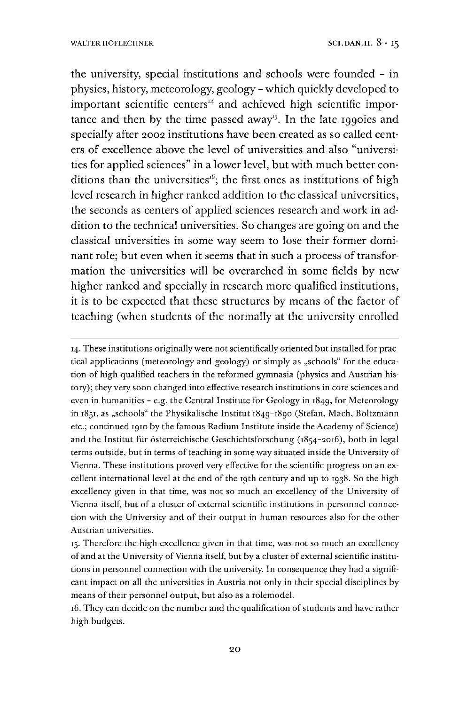the university, special institutions and schools were founded - in physics, history, meteorology, geology - which quickly developed to important scientific centers $44}$  and achieved high scientific impor-tance and then by the time passed away<sup>[15](#page-11-1)</sup>. In the late 1990ies and specially after 2002 institutions have been created as so called centers of excellence above the level of universities and also "universities for applied sciences" in a lower level, but with much better con-ditions than the universities<sup>[16](#page-11-2)</sup>; the first ones as institutions of high level research in higher ranked addition to the classical universities, the seconds as centers of applied sciences research and work in addition to the technical universities. So changes are going on and the classical universities in some way seem to lose their former dominant role; but even when it seems that in such a process of transformation the universities will be overarched in some fields by new higher ranked and specially in research more qualified institutions, it is to be expected that these structures by means of the factor of teaching (when students of the normally at the university enrolled

<span id="page-11-0"></span>14. These institutions originally were not scientifically oriented but installed for practical applications (meteorology and geology) or simply as "schools" for the education of high qualified teachers in the reformed gymnasia (physics and Austrian history); they very soon changed into effective research institutions in core sciences and even in humanities - e.g. the Central Institute for Geology in  $1849$ , for Meteorology in 1851, as "schools" the Physikalische Institut 1849-1890 (Stefan, Mach, Boltzmann etc.; continued 1910 by the famous Radium Institute inside the Academy of Science) and the Institut für österreichische Geschichtsforschung (1854-2016), both in legal terms outside, but in terms of teaching in some way situated inside the University of Vienna. These institutions proved very effective for the scientific progress on an excellent international level at the end of the 19th century and up to 1938. So the high excellency given in that time, was not so much an excellency of the University of Vienna itself, but of a cluster of external scientific institutions in personnel connection with the University and of their output in human resources also for the other Austrian universities.

<span id="page-11-2"></span>16. They can decide on the number and the qualification of students and have rather high budgets.

<span id="page-11-1"></span><sup>15.</sup> Therefore the high excellence given in that time, was not so much an excellency of and at the University of Vienna itself, but by a cluster of external scientific institutions in personnel connection with the university. In consequence they had a significant impact on all the universities in Austria not only in their special disciplines by means of their personnel output, but also as a rolemodel.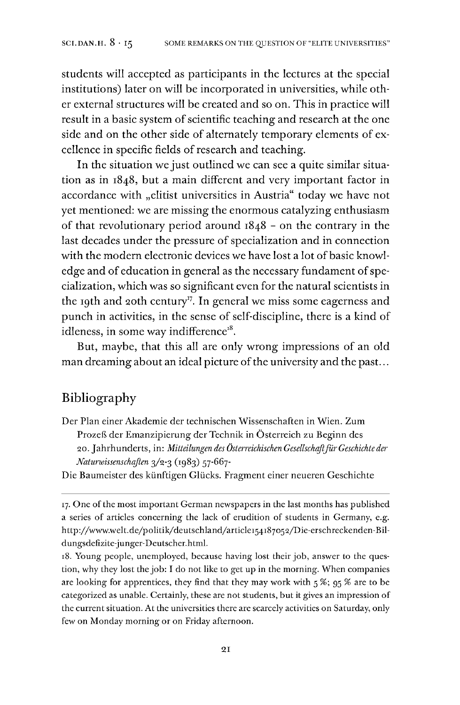students will accepted as participants in the lectures at the special institutions) later on will be incorporated in universities, while other external structures will be created and so on. This in practice will result in a basic system of scientific teaching and research at the one side and on the other side of alternately temporary elements of excellence in specific fields of research and teaching.

In the situation we just outlined we can see a quite similar situation as in 1848, but a main different and very important factor in accordance with "elitist universities in Austria" today we have not yet mentioned: we are missing the enormous catalyzing enthusiasm of that revolutionary period around 1848 - on the contrary in the last decades under the pressure of specialization and in connection with the modern electronic devices we have lost a lot of basic knowledge and of education in general as the necessary fundament of specialization, which was so significant even for the natural scientists in the 19th and 20th century<sup>[17](#page-12-0)</sup>. In general we miss some eagerness and punch in activities, in the sense of self-discipline, there is a kind of idleness, in some way indifference<sup>[18](#page-12-1)</sup>.

But, maybe, that this all are only wrong impressions of an old man dreaming about an ideal picture of the university and the past...

### Bibliography

Der Plan einer Akademie der technischen Wissenschaften in Wien. Zum Prozeß der Emanzipierung der Technik in Österreich zu Beginn des 20. Jahrhunderts, in: *Mitteilungen des Österreichischen GesellschaftfürGeschichte der Naturwissenschaften* 3/2-3 (1983) 57-667-

Die Baumeister des künftigen Glücks. Fragment einer neueren Geschichte

<span id="page-12-0"></span><sup>17.</sup> One of the most important German newspapers in the last months has published a series of articles concerning the lack of erudition of students in Germany, e.g. http://www.welt.de/politik/deutschland/article154187o52/Die-erschreckenden-Bildungsdefizite-junger-Deutscher.html.

<span id="page-12-1"></span><sup>18.</sup> Young people, unemployed, because having lost their job, answer to the question, why they lost the job: I do not like to get up in the morning. When companies are looking for apprentices, they find that they may work with  $5\%$ ;  $95\%$  are to be categorized as unable. Certainly, these are not students, but it gives an impression of the current situation. At the universities there are scarcely activities on Saturday, only few on Monday morning or on Friday afternoon.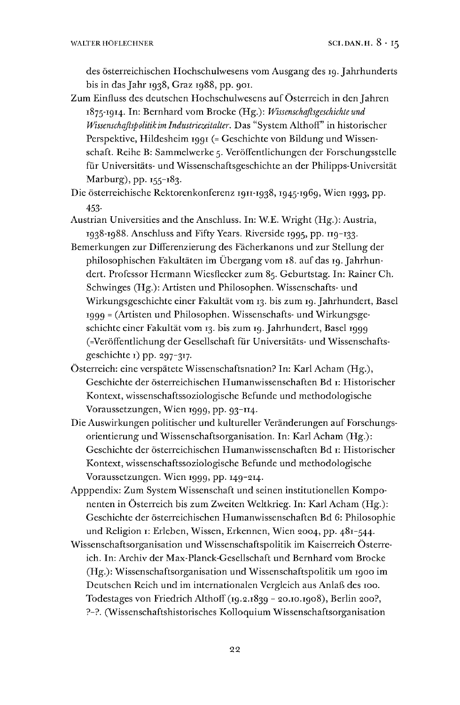des österreichischen Hochschulwesens vom Ausgang des 19. Jahrhunderts bis in das Jahr 1938, Graz 1988, pp. 901.

Zum Einfluss des deutschen Hochschulwesens aufÖsterreich in den Jahren 1875-1914. In: Bernhard vom Brocke (Hg.): *Wissenschaftsgeschichte und Wissenschaftspolitik im Industriezeitalter.* Das "System Althoff" in historischer Perspektive, Hildesheim 1991 (= Geschichte von Bildung und Wissenschaft. Reihe B: Sammelwerke 5. Veröffentlichungen der Forschungsstelle für Universitäts- und Wissenschaftsgeschichte an der Philipps-Universität Marburg), pp. 155-183.

Die österreichische Rektorenkonferenz 1911-1938,1945-1969, Wien 1993, pp. 453-

- Austrian Universities and the Anschluss. In: W.E. Wright (Hg.): Austria, 1938-1988. Anschluss and Fifty Years. Riverside 1995, pp. 119-133.
- Bemerkungen zur Differenzierung des Fächerkanons und zur Stellung der philosophischen Fakultäten im Übergang vom 18. auf das 19. Jahrhundert. Professor Hermann Wiesflecker zum 85. Geburtstag. In: Rainer Ch. Schwinges (Hg.): Artisten und Philosophen. Wissenschafts- und Wirkungsgeschichte einer Fakultät vom 13. bis zum 19. Jahrhundert, Basel 1999 <sup>=</sup> (Artisten und Philosophen. Wissenschafts- und Wirkungsgeschichte einer Fakultät vom 13. bis zum 19. Jahrhundert, Basel 1999 (=Veröffentlichung der Gesellschaft für Universitäts- und Wissenschaftsgeschichte 1) pp. 297-317.
- Österreich: eine verspätete Wissenschaftsnation? In: Karl Acham (Hg.), Geschichte der österreichischen Humanwissenschaften Bd 1: Historischer Kontext, wissenschaftssoziologische Befunde und methodologische Voraussetzungen, Wien 1999, pp. 93-114.
- Die Auswirkungen politischer und kultureller Veränderungen auf Forschungsorientierung und Wissenschaftsorganisation. In: Karl Acham (Hg.): Geschichte der österreichischen Humanwissenschaften Bd 1: Historischer Kontext, wissenschaftssoziologische Befunde und methodologische Voraussetzungen. Wien 1999, pp. 149-214.
- Apppendix: Zum System Wissenschaft und seinen institutionellen Komponenten in Österreich bis zum Zweiten Weltkrieg. In: Karl Acham (Hg.): Geschichte der österreichischen Humanwissenschaften Bd 6: Philosophie und Religion 1: Erleben, Wissen, Erkennen, Wien 2004, pp. 481-544.
- Wissenschaftsorganisation und Wissenschaftspolitik im Kaiserreich Österreich. In: Archiv der Max-Planck-Gesellschaft und Bernhard vom Brocke (Hg.): Wissenschaftsorganisation und Wissenschaftspolitik um 1900 im Deutschen Reich und im internationalen Vergleich aus Anlaß des 100. Todestages von Friedrich Althoff (19.2.1839 - 20.10.1908), Berlin 200?, ?-?. (Wissenschaftshistorisches Kolloquium Wissenschaftsorganisation